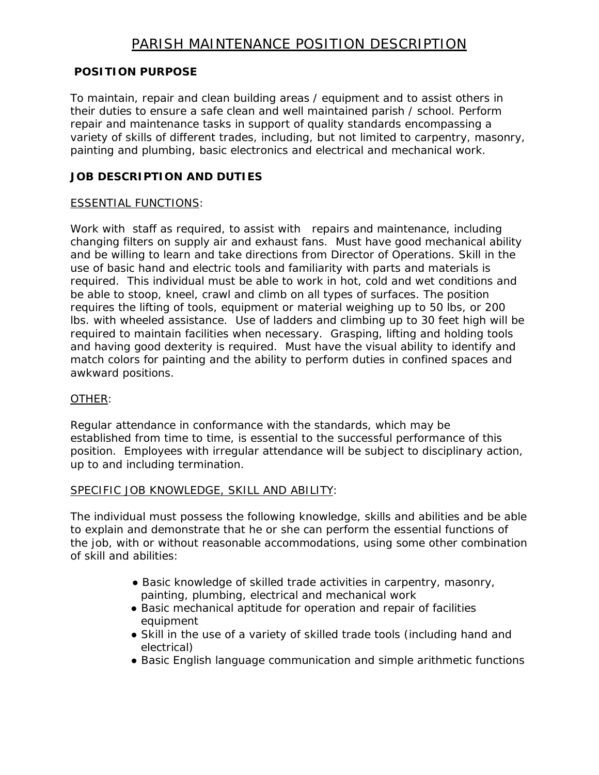# PARISH MAINTENANCE POSITION DESCRIPTION

# **POSITION PURPOSE**

To maintain, repair and clean building areas / equipment and to assist others in their duties to ensure a safe clean and well maintained parish / school. Perform repair and maintenance tasks in support of quality standards encompassing a variety of skills of different trades, including, but not limited to carpentry, masonry, painting and plumbing, basic electronics and electrical and mechanical work.

# **JOB DESCRIPTION AND DUTIES**

#### ESSENTIAL FUNCTIONS:

Work with staff as required, to assist with repairs and maintenance, including changing filters on supply air and exhaust fans. Must have good mechanical ability and be willing to learn and take directions from Director of Operations. Skill in the use of basic hand and electric tools and familiarity with parts and materials is required. This individual must be able to work in hot, cold and wet conditions and be able to stoop, kneel, crawl and climb on all types of surfaces. The position requires the lifting of tools, equipment or material weighing up to 50 lbs, or 200 lbs. with wheeled assistance. Use of ladders and climbing up to 30 feet high will be required to maintain facilities when necessary. Grasping, lifting and holding tools and having good dexterity is required. Must have the visual ability to identify and match colors for painting and the ability to perform duties in confined spaces and awkward positions.

#### OTHER:

Regular attendance in conformance with the standards, which may be established from time to time, is essential to the successful performance of this position. Employees with irregular attendance will be subject to disciplinary action, up to and including termination.

#### SPECIFIC JOB KNOWLEDGE, SKILL AND ABILITY:

The individual must possess the following knowledge, skills and abilities and be able to explain and demonstrate that he or she can perform the essential functions of the job, with or without reasonable accommodations, using some other combination of skill and abilities:

- Basic knowledge of skilled trade activities in carpentry, masonry, painting, plumbing, electrical and mechanical work
- Basic mechanical aptitude for operation and repair of facilities equipment
- Skill in the use of a variety of skilled trade tools (including hand and electrical)
- Basic English language communication and simple arithmetic functions